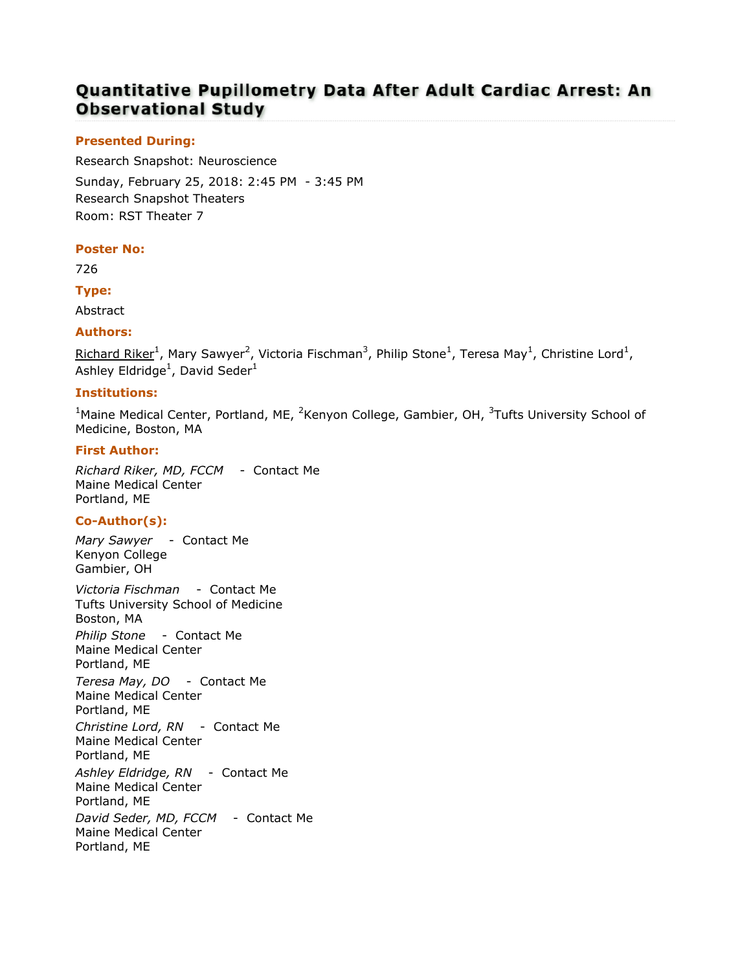# Quantitative Pupillometry Data After Adult Cardiac Arrest: An **Observational Study**

# Presented During:

Research Snapshot: Neuroscience Sunday, February 25, 2018: 2:45 PM - 3:45 PM Research Snapshot Theaters Room: RST Theater 7

## Poster No:

726

## Type:

Abstract

## Authors:

Richard Riker<sup>1</sup>, Mary Sawyer<sup>2</sup>, Victoria Fischman<sup>3</sup>, Philip Stone<sup>1</sup>, Teresa May<sup>1</sup>, Christine Lord<sup>1</sup>, Ashley Eldridge<sup>1</sup>, David Seder<sup>1</sup>

# Institutions:

<sup>1</sup>Maine Medical Center, Portland, ME, <sup>2</sup>Kenyon College, Gambier, OH,  $3$ Tufts University School of Medicine, Boston, MA

# First Author:

Richard Riker, MD, FCCM - Contact Me Maine Medical Center Portland, ME

# Co-Author(s):

Mary Sawyer - Contact Me Kenyon College Gambier, OH Victoria Fischman - Contact Me Tufts University School of Medicine Boston, MA Philip Stone - Contact Me Maine Medical Center Portland, ME Teresa May, DO - Contact Me Maine Medical Center Portland, ME Christine Lord, RN - Contact Me Maine Medical Center Portland, ME Ashley Eldridge, RN - Contact Me Maine Medical Center Portland, ME David Seder, MD, FCCM - Contact Me Maine Medical Center Portland, ME